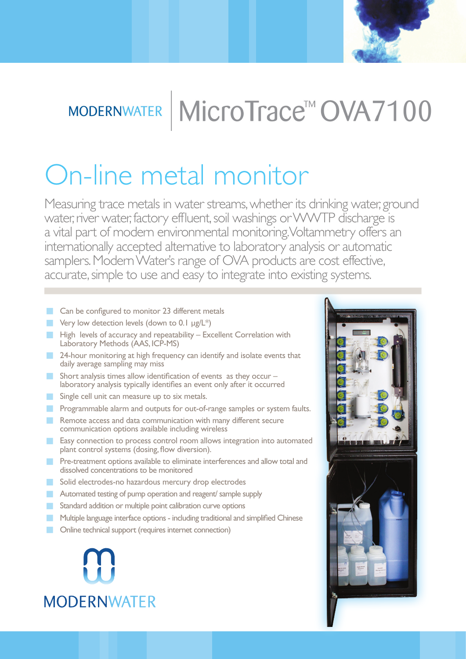

# MODERNWATER | MICroTrace<sup>™</sup> OVA7100

# On-line metal monitor

Measuring trace metals in water streams, whether its drinking water, ground water, river water, factory effluent, soil washings or WWTP discharge is a vital part of modern environmental monitoring. Voltammetry offers an internationally accepted alternative to laboratory analysis or automatic samplers. Modern Water's range of OVA products are cost effective, accurate, simple to use and easy to integrate into existing systems.

- **Can be configured to monitor 23 different metals**
- **Very low detection levels (down to 0.1 µg/L\*)**
- High levels of accuracy and repeatability Excellent Correlation with Laboratory Methods (AAS, ICP-MS)
- 24-hour monitoring at high frequency can identify and isolate events that daily average sampling may miss
- Short analysis times allow identification of events as they occur laboratory analysis typically identifies an event only after it occurred
- Single cell unit can measure up to six metals.
- **Programmable alarm and outputs for out-of-range samples or system faults.**
- **Remote access and data communication with many different secure** communication options available including wireless
- **Easy connection to process control room allows integration into automated** plant control systems (dosing, flow diversion).
- **Pre-treatment options available to eliminate interferences and allow total and** dissolved concentrations to be monitored
- Solid electrodes-no hazardous mercury drop electrodes
- **Automated testing of pump operation and reagent/ sample supply**
- Standard addition or multiple point calibration curve options
- **Multiple language interface options including traditional and simplified Chinese**
- **Conline technical support (requires internet connection)**